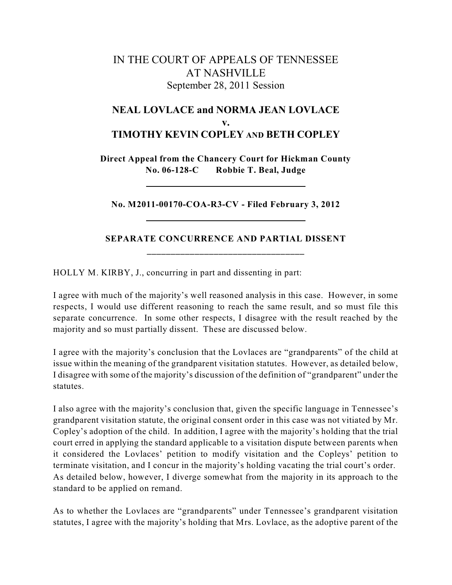## IN THE COURT OF APPEALS OF TENNESSEE AT NASHVILLE September 28, 2011 Session

## **NEAL LOVLACE and NORMA JEAN LOVLACE v. TIMOTHY KEVIN COPLEY AND BETH COPLEY**

**Direct Appeal from the Chancery Court for Hickman County No. 06-128-C Robbie T. Beal, Judge**

**No. M2011-00170-COA-R3-CV - Filed February 3, 2012**

## **SEPARATE CONCURRENCE AND PARTIAL DISSENT \_\_\_\_\_\_\_\_\_\_\_\_\_\_\_\_\_\_\_\_\_\_\_\_\_\_\_\_\_\_\_\_\_**

HOLLY M. KIRBY, J., concurring in part and dissenting in part:

I agree with much of the majority's well reasoned analysis in this case. However, in some respects, I would use different reasoning to reach the same result, and so must file this separate concurrence. In some other respects, I disagree with the result reached by the majority and so must partially dissent. These are discussed below.

I agree with the majority's conclusion that the Lovlaces are "grandparents" of the child at issue within the meaning of the grandparent visitation statutes. However, as detailed below, I disagree with some of the majority's discussion of the definition of "grandparent" under the statutes.

I also agree with the majority's conclusion that, given the specific language in Tennessee's grandparent visitation statute, the original consent order in this case was not vitiated by Mr. Copley's adoption of the child. In addition, I agree with the majority's holding that the trial court erred in applying the standard applicable to a visitation dispute between parents when it considered the Lovlaces' petition to modify visitation and the Copleys' petition to terminate visitation, and I concur in the majority's holding vacating the trial court's order. As detailed below, however, I diverge somewhat from the majority in its approach to the standard to be applied on remand.

As to whether the Lovlaces are "grandparents" under Tennessee's grandparent visitation statutes, I agree with the majority's holding that Mrs. Lovlace, as the adoptive parent of the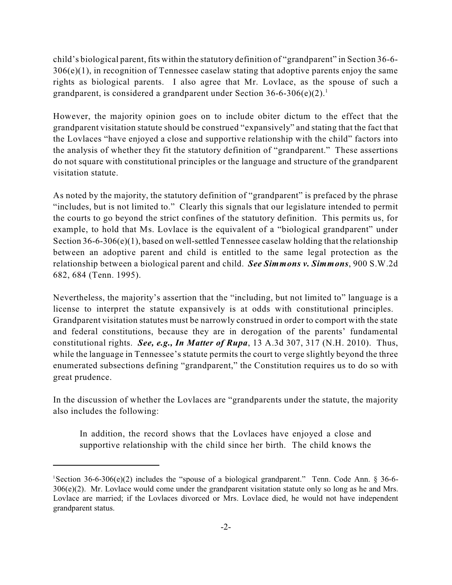child's biological parent, fits within the statutory definition of "grandparent" in Section 36-6- 306(e)(1), in recognition of Tennessee caselaw stating that adoptive parents enjoy the same rights as biological parents. I also agree that Mr. Lovlace, as the spouse of such a grandparent, is considered a grandparent under Section  $36-6-306(e)(2)$ .

However, the majority opinion goes on to include obiter dictum to the effect that the grandparent visitation statute should be construed "expansively" and stating that the fact that the Lovlaces "have enjoyed a close and supportive relationship with the child" factors into the analysis of whether they fit the statutory definition of "grandparent." These assertions do not square with constitutional principles or the language and structure of the grandparent visitation statute.

As noted by the majority, the statutory definition of "grandparent" is prefaced by the phrase "includes, but is not limited to." Clearly this signals that our legislature intended to permit the courts to go beyond the strict confines of the statutory definition. This permits us, for example, to hold that Ms. Lovlace is the equivalent of a "biological grandparent" under Section 36-6-306(e)(1), based on well-settled Tennessee caselaw holding that the relationship between an adoptive parent and child is entitled to the same legal protection as the relationship between a biological parent and child. *See Simmons v. Simmons*, 900 S.W.2d 682, 684 (Tenn. 1995).

Nevertheless, the majority's assertion that the "including, but not limited to" language is a license to interpret the statute expansively is at odds with constitutional principles. Grandparent visitation statutes must be narrowly construed in order to comport with the state and federal constitutions, because they are in derogation of the parents' fundamental constitutional rights. *See, e.g., In Matter of Rupa*, 13 A.3d 307, 317 (N.H. 2010). Thus, while the language in Tennessee's statute permits the court to verge slightly beyond the three enumerated subsections defining "grandparent," the Constitution requires us to do so with great prudence.

In the discussion of whether the Lovlaces are "grandparents under the statute, the majority also includes the following:

In addition, the record shows that the Lovlaces have enjoyed a close and supportive relationship with the child since her birth. The child knows the

<sup>&</sup>lt;sup>1</sup>Section 36-6-306(e)(2) includes the "spouse of a biological grandparent." Tenn. Code Ann. § 36-6-306(e)(2). Mr. Lovlace would come under the grandparent visitation statute only so long as he and Mrs. Lovlace are married; if the Lovlaces divorced or Mrs. Lovlace died, he would not have independent grandparent status.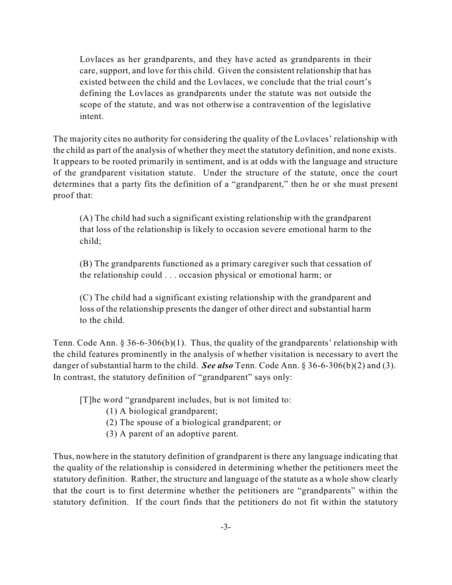Lovlaces as her grandparents, and they have acted as grandparents in their care, support, and love for this child. Given the consistent relationship that has existed between the child and the Lovlaces, we conclude that the trial court's defining the Lovlaces as grandparents under the statute was not outside the scope of the statute, and was not otherwise a contravention of the legislative intent.

The majority cites no authority for considering the quality of the Lovlaces' relationship with the child as part of the analysis of whether they meet the statutory definition, and none exists. It appears to be rooted primarily in sentiment, and is at odds with the language and structure of the grandparent visitation statute. Under the structure of the statute, once the court determines that a party fits the definition of a "grandparent," then he or she must present proof that:

(A) The child had such a significant existing relationship with the grandparent that loss of the relationship is likely to occasion severe emotional harm to the child;

(B) The grandparents functioned as a primary caregiver such that cessation of the relationship could . . . occasion physical or emotional harm; or

(C) The child had a significant existing relationship with the grandparent and loss of the relationship presents the danger of other direct and substantial harm to the child.

Tenn. Code Ann. § 36-6-306(b)(1). Thus, the quality of the grandparents' relationship with the child features prominently in the analysis of whether visitation is necessary to avert the danger of substantial harm to the child. *See also* Tenn. Code Ann. § 36-6-306(b)(2) and (3). In contrast, the statutory definition of "grandparent" says only:

[T]he word "grandparent includes, but is not limited to:

- (1) A biological grandparent;
- (2) The spouse of a biological grandparent; or
- (3) A parent of an adoptive parent.

Thus, nowhere in the statutory definition of grandparent is there any language indicating that the quality of the relationship is considered in determining whether the petitioners meet the statutory definition. Rather, the structure and language of the statute as a whole show clearly that the court is to first determine whether the petitioners are "grandparents" within the statutory definition. If the court finds that the petitioners do not fit within the statutory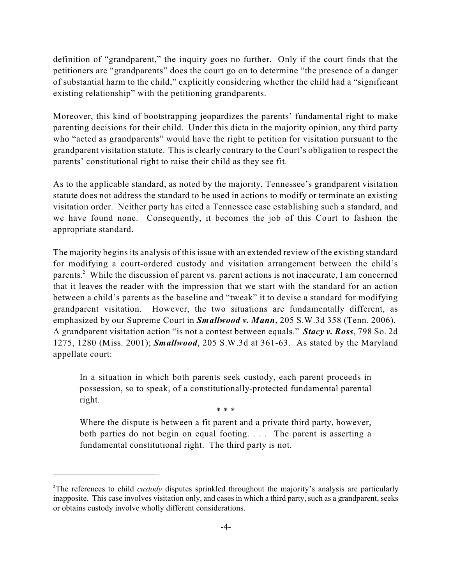definition of "grandparent," the inquiry goes no further. Only if the court finds that the petitioners are "grandparents" does the court go on to determine "the presence of a danger of substantial harm to the child," explicitly considering whether the child had a "significant existing relationship" with the petitioning grandparents.

Moreover, this kind of bootstrapping jeopardizes the parents' fundamental right to make parenting decisions for their child. Under this dicta in the majority opinion, any third party who "acted as grandparents" would have the right to petition for visitation pursuant to the grandparent visitation statute. This is clearly contrary to the Court's obligation to respect the parents' constitutional right to raise their child as they see fit.

As to the applicable standard, as noted by the majority, Tennessee's grandparent visitation statute does not address the standard to be used in actions to modify or terminate an existing visitation order. Neither party has cited a Tennessee case establishing such a standard, and we have found none. Consequently, it becomes the job of this Court to fashion the appropriate standard.

The majority begins its analysis of this issue with an extended review of the existing standard for modifying a court-ordered custody and visitation arrangement between the child's parents. $^2$  While the discussion of parent vs. parent actions is not inaccurate, I am concerned that it leaves the reader with the impression that we start with the standard for an action between a child's parents as the baseline and "tweak" it to devise a standard for modifying grandparent visitation. However, the two situations are fundamentally different, as emphasized by our Supreme Court in *Smallwood v. Mann*, 205 S.W.3d 358 (Tenn. 2006). A grandparent visitation action "is not a contest between equals." *Stacy v. Ross*, 798 So. 2d 1275, 1280 (Miss. 2001); *Smallwood*, 205 S.W.3d at 361-63. As stated by the Maryland appellate court:

In a situation in which both parents seek custody, each parent proceeds in possession, so to speak, of a constitutionally-protected fundamental parental right.

\* \* \*

Where the dispute is between a fit parent and a private third party, however, both parties do not begin on equal footing. . . . The parent is asserting a fundamental constitutional right. The third party is not.

<sup>&</sup>lt;sup>2</sup>The references to child *custody* disputes sprinkled throughout the majority's analysis are particularly inapposite. This case involves visitation only, and cases in which a third party, such as a grandparent, seeks or obtains custody involve wholly different considerations.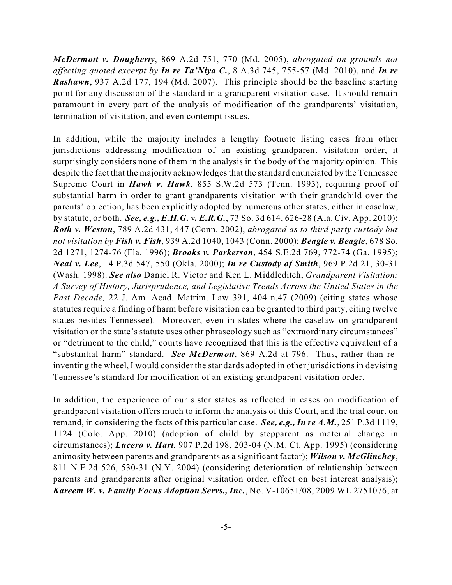*McDermott v. Dougherty*, 869 A.2d 751, 770 (Md. 2005), *abrogated on grounds not affecting quoted excerpt by In re Ta'Niya C.*, 8 A.3d 745, 755-57 (Md. 2010), and *In re Rashawn*, 937 A.2d 177, 194 (Md. 2007). This principle should be the baseline starting point for any discussion of the standard in a grandparent visitation case. It should remain paramount in every part of the analysis of modification of the grandparents' visitation, termination of visitation, and even contempt issues.

In addition, while the majority includes a lengthy footnote listing cases from other jurisdictions addressing modification of an existing grandparent visitation order, it surprisingly considers none of them in the analysis in the body of the majority opinion. This despite the fact that the majority acknowledges that the standard enunciated by the Tennessee Supreme Court in *Hawk v. Hawk*, 855 S.W.2d 573 (Tenn. 1993), requiring proof of substantial harm in order to grant grandparents visitation with their grandchild over the parents' objection, has been explicitly adopted by numerous other states, either in caselaw, by statute, or both. *See, e.g., E.H.G. v. E.R.G.*, 73 So. 3d 614, 626-28 (Ala. Civ. App. 2010); *Roth v. Weston*, 789 A.2d 431, 447 (Conn. 2002), *abrogated as to third party custody but not visitation by Fish v. Fish*, 939 A.2d 1040, 1043 (Conn. 2000); *Beagle v. Beagle*, 678 So. 2d 1271, 1274-76 (Fla. 1996); *Brooks v. Parkerson*, 454 S.E.2d 769, 772-74 (Ga. 1995); *Neal v. Lee*, 14 P.3d 547, 550 (Okla. 2000); *In re Custody of Smith*, 969 P.2d 21, 30-31 (Wash. 1998). *See also* Daniel R. Victor and Ken L. Middleditch, *Grandparent Visitation: A Survey of History, Jurisprudence, and Legislative Trends Across the United States in the Past Decade,* 22 J. Am. Acad. Matrim. Law 391, 404 n.47 (2009) (citing states whose statutes require a finding of harm before visitation can be granted to third party, citing twelve states besides Tennessee). Moreover, even in states where the caselaw on grandparent visitation or the state's statute uses other phraseology such as "extraordinary circumstances" or "detriment to the child," courts have recognized that this is the effective equivalent of a "substantial harm" standard. *See McDermott*, 869 A.2d at 796. Thus, rather than reinventing the wheel, I would consider the standards adopted in other jurisdictions in devising Tennessee's standard for modification of an existing grandparent visitation order.

In addition, the experience of our sister states as reflected in cases on modification of grandparent visitation offers much to inform the analysis of this Court, and the trial court on remand, in considering the facts of this particular case. *See, e.g., In re A.M.*, 251 P.3d 1119, 1124 (Colo. App. 2010) (adoption of child by stepparent as material change in circumstances); *Lucero v. Hart*, 907 P.2d 198, 203-04 (N.M. Ct. App. 1995) (considering animosity between parents and grandparents as a significant factor); *Wilson v. McGlinchey*, 811 N.E.2d 526, 530-31 (N.Y. 2004) (considering deterioration of relationship between parents and grandparents after original visitation order, effect on best interest analysis); *Kareem W. v. Family Focus Adoption Servs., Inc.*, No. V-10651/08, 2009 WL 2751076, at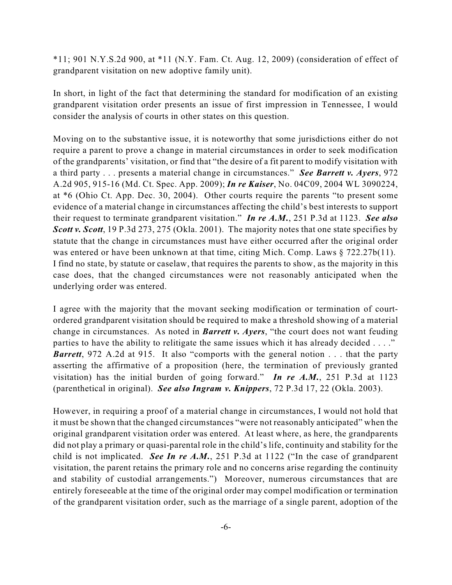$*11$ ; 901 N.Y.S.2d 900, at  $*11$  (N.Y. Fam. Ct. Aug. 12, 2009) (consideration of effect of grandparent visitation on new adoptive family unit).

In short, in light of the fact that determining the standard for modification of an existing grandparent visitation order presents an issue of first impression in Tennessee, I would consider the analysis of courts in other states on this question.

Moving on to the substantive issue, it is noteworthy that some jurisdictions either do not require a parent to prove a change in material circumstances in order to seek modification of the grandparents' visitation, or find that "the desire of a fit parent to modify visitation with a third party . . . presents a material change in circumstances." *See Barrett v. Ayers*, 972 A.2d 905, 915-16 (Md. Ct. Spec. App. 2009); *In re Kaiser*, No. 04C09, 2004 WL 3090224, at \*6 (Ohio Ct. App. Dec. 30, 2004). Other courts require the parents "to present some evidence of a material change in circumstances affecting the child's best interests to support their request to terminate grandparent visitation." *In re A.M.*, 251 P.3d at 1123. *See also Scott v. Scott*, 19 P.3d 273, 275 (Okla. 2001). The majority notes that one state specifies by statute that the change in circumstances must have either occurred after the original order was entered or have been unknown at that time, citing Mich. Comp. Laws § 722.27b(11). I find no state, by statute or caselaw, that requires the parents to show, as the majority in this case does, that the changed circumstances were not reasonably anticipated when the underlying order was entered.

I agree with the majority that the movant seeking modification or termination of courtordered grandparent visitation should be required to make a threshold showing of a material change in circumstances. As noted in *Barrett v. Ayers*, "the court does not want feuding parties to have the ability to relitigate the same issues which it has already decided . . . ." *Barrett*, 972 A.2d at 915. It also "comports with the general notion . . . that the party asserting the affirmative of a proposition (here, the termination of previously granted visitation) has the initial burden of going forward." *In re A.M.*, 251 P.3d at 1123 (parenthetical in original). *See also Ingram v. Knippers*, 72 P.3d 17, 22 (Okla. 2003).

However, in requiring a proof of a material change in circumstances, I would not hold that it must be shown that the changed circumstances "were not reasonably anticipated" when the original grandparent visitation order was entered. At least where, as here, the grandparents did not play a primary or quasi-parental role in the child's life, continuity and stability for the child is not implicated. *See In re A.M.*, 251 P.3d at 1122 ("In the case of grandparent visitation, the parent retains the primary role and no concerns arise regarding the continuity and stability of custodial arrangements.") Moreover, numerous circumstances that are entirely foreseeable at the time of the original order may compel modification or termination of the grandparent visitation order, such as the marriage of a single parent, adoption of the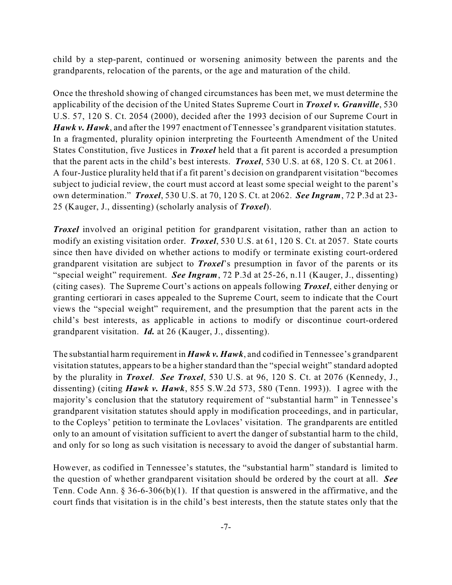child by a step-parent, continued or worsening animosity between the parents and the grandparents, relocation of the parents, or the age and maturation of the child.

Once the threshold showing of changed circumstances has been met, we must determine the applicability of the decision of the United States Supreme Court in *Troxel v. Granville*, 530 U.S. 57, 120 S. Ct. 2054 (2000), decided after the 1993 decision of our Supreme Court in *Hawk v. Hawk*, and after the 1997 enactment of Tennessee's grandparent visitation statutes. In a fragmented, plurality opinion interpreting the Fourteenth Amendment of the United States Constitution, five Justices in *Troxel* held that a fit parent is accorded a presumption that the parent acts in the child's best interests. *Troxel*, 530 U.S. at 68, 120 S. Ct. at 2061. A four-Justice plurality held that if a fit parent's decision on grandparent visitation "becomes subject to judicial review, the court must accord at least some special weight to the parent's own determination." *Troxel*, 530 U.S. at 70, 120 S. Ct. at 2062. *See Ingram*, 72 P.3d at 23- 25 (Kauger, J., dissenting) (scholarly analysis of *Troxel*).

*Troxel* involved an original petition for grandparent visitation, rather than an action to modify an existing visitation order. *Troxel*, 530 U.S. at 61, 120 S. Ct. at 2057. State courts since then have divided on whether actions to modify or terminate existing court-ordered grandparent visitation are subject to *Troxel*'s presumption in favor of the parents or its "special weight" requirement. *See Ingram*, 72 P.3d at 25-26, n.11 (Kauger, J., dissenting) (citing cases). The Supreme Court's actions on appeals following *Troxel*, either denying or granting certiorari in cases appealed to the Supreme Court, seem to indicate that the Court views the "special weight" requirement, and the presumption that the parent acts in the child's best interests, as applicable in actions to modify or discontinue court-ordered grandparent visitation. *Id.* at 26 (Kauger, J., dissenting).

The substantial harm requirement in *Hawk v. Hawk*, and codified in Tennessee's grandparent visitation statutes, appears to be a higher standard than the "special weight" standard adopted by the plurality in *Troxel*. *See Troxel*, 530 U.S. at 96, 120 S. Ct. at 2076 (Kennedy, J., dissenting) (citing *Hawk v. Hawk*, 855 S.W.2d 573, 580 (Tenn. 1993)). I agree with the majority's conclusion that the statutory requirement of "substantial harm" in Tennessee's grandparent visitation statutes should apply in modification proceedings, and in particular, to the Copleys' petition to terminate the Lovlaces' visitation. The grandparents are entitled only to an amount of visitation sufficient to avert the danger of substantial harm to the child, and only for so long as such visitation is necessary to avoid the danger of substantial harm.

However, as codified in Tennessee's statutes, the "substantial harm" standard is limited to the question of whether grandparent visitation should be ordered by the court at all. *See* Tenn. Code Ann.  $\S 36-6-306(b)(1)$ . If that question is answered in the affirmative, and the court finds that visitation is in the child's best interests, then the statute states only that the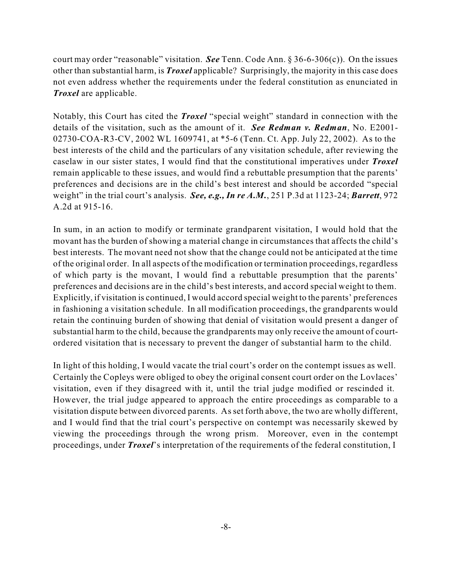court may order "reasonable" visitation. *See* Tenn. Code Ann. § 36-6-306(c)). On the issues other than substantial harm, is *Troxel* applicable? Surprisingly, the majority in this case does not even address whether the requirements under the federal constitution as enunciated in *Troxel* are applicable.

Notably, this Court has cited the *Troxel* "special weight" standard in connection with the details of the visitation, such as the amount of it. *See Redman v. Redman*, No. E2001- 02730-COA-R3-CV, 2002 WL 1609741, at \*5-6 (Tenn. Ct. App. July 22, 2002). As to the best interests of the child and the particulars of any visitation schedule, after reviewing the caselaw in our sister states, I would find that the constitutional imperatives under *Troxel* remain applicable to these issues, and would find a rebuttable presumption that the parents' preferences and decisions are in the child's best interest and should be accorded "special weight" in the trial court's analysis. *See, e.g., In re A.M.*, 251 P.3d at 1123-24; *Barrett*, 972 A.2d at 915-16.

In sum, in an action to modify or terminate grandparent visitation, I would hold that the movant has the burden of showing a material change in circumstances that affects the child's best interests. The movant need not show that the change could not be anticipated at the time of the original order. In all aspects of the modification or termination proceedings, regardless of which party is the movant, I would find a rebuttable presumption that the parents' preferences and decisions are in the child's best interests, and accord special weight to them. Explicitly, if visitation is continued, I would accord special weight to the parents' preferences in fashioning a visitation schedule. In all modification proceedings, the grandparents would retain the continuing burden of showing that denial of visitation would present a danger of substantial harm to the child, because the grandparents may only receive the amount of courtordered visitation that is necessary to prevent the danger of substantial harm to the child.

In light of this holding, I would vacate the trial court's order on the contempt issues as well. Certainly the Copleys were obliged to obey the original consent court order on the Lovlaces' visitation, even if they disagreed with it, until the trial judge modified or rescinded it. However, the trial judge appeared to approach the entire proceedings as comparable to a visitation dispute between divorced parents. As set forth above, the two are wholly different, and I would find that the trial court's perspective on contempt was necessarily skewed by viewing the proceedings through the wrong prism. Moreover, even in the contempt proceedings, under *Troxel*'s interpretation of the requirements of the federal constitution, I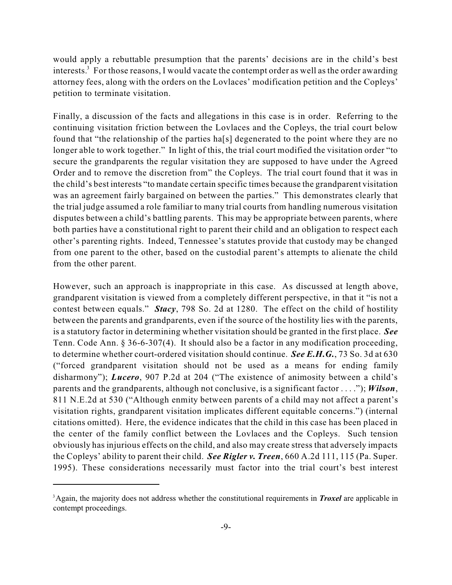would apply a rebuttable presumption that the parents' decisions are in the child's best interests.<sup>3</sup> For those reasons, I would vacate the contempt order as well as the order awarding attorney fees, along with the orders on the Lovlaces' modification petition and the Copleys' petition to terminate visitation.

Finally, a discussion of the facts and allegations in this case is in order. Referring to the continuing visitation friction between the Lovlaces and the Copleys, the trial court below found that "the relationship of the parties ha[s] degenerated to the point where they are no longer able to work together." In light of this, the trial court modified the visitation order "to" secure the grandparents the regular visitation they are supposed to have under the Agreed Order and to remove the discretion from" the Copleys. The trial court found that it was in the child's best interests "to mandate certain specific times because the grandparent visitation was an agreement fairly bargained on between the parties." This demonstrates clearly that the trial judge assumed a role familiar to many trial courts from handling numerous visitation disputes between a child's battling parents. This may be appropriate between parents, where both parties have a constitutional right to parent their child and an obligation to respect each other's parenting rights. Indeed, Tennessee's statutes provide that custody may be changed from one parent to the other, based on the custodial parent's attempts to alienate the child from the other parent.

However, such an approach is inappropriate in this case. As discussed at length above, grandparent visitation is viewed from a completely different perspective, in that it "is not a contest between equals." *Stacy*, 798 So. 2d at 1280. The effect on the child of hostility between the parents and grandparents, even if the source of the hostility lies with the parents, is a statutory factor in determining whether visitation should be granted in the first place. *See* Tenn. Code Ann. § 36-6-307(4). It should also be a factor in any modification proceeding, to determine whether court-ordered visitation should continue. *See E.H.G.*, 73 So. 3d at 630 ("forced grandparent visitation should not be used as a means for ending family disharmony"); *Lucero*, 907 P.2d at 204 ("The existence of animosity between a child's parents and the grandparents, although not conclusive, is a significant factor . . . ."); *Wilson*, 811 N.E.2d at 530 ("Although enmity between parents of a child may not affect a parent's visitation rights, grandparent visitation implicates different equitable concerns.") (internal citations omitted). Here, the evidence indicates that the child in this case has been placed in the center of the family conflict between the Lovlaces and the Copleys. Such tension obviously has injurious effects on the child, and also may create stress that adversely impacts the Copleys' ability to parent their child. *See Rigler v. Treen*, 660 A.2d 111, 115 (Pa. Super. 1995). These considerations necessarily must factor into the trial court's best interest

<sup>&</sup>lt;sup>3</sup> Again, the majority does not address whether the constitutional requirements in *Troxel* are applicable in contempt proceedings.